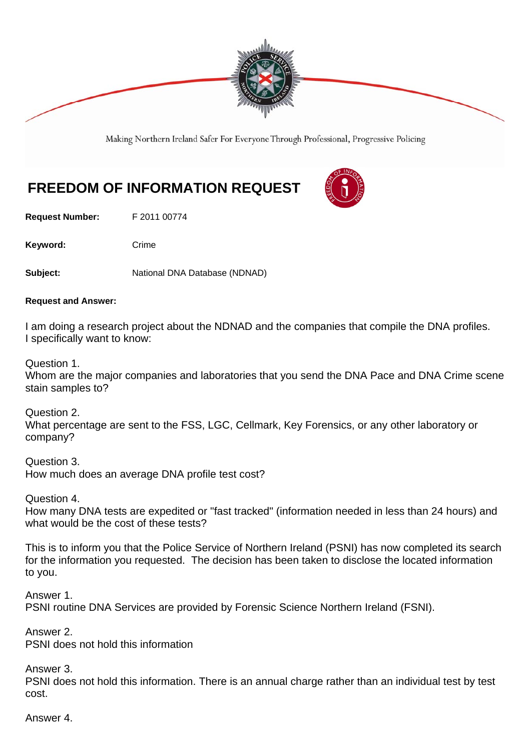

Making Northern Ireland Safer For Everyone Through Professional, Progressive Policing

## **FREEDOM OF INFORMATION REQUEST**

**Request Number:** F 2011 00774

Keyword: Crime

Subject: National DNA Database (NDNAD)

## **Request and Answer:**

I am doing a research project about the NDNAD and the companies that compile the DNA profiles. I specifically want to know:

Question 1.

Whom are the major companies and laboratories that you send the DNA Pace and DNA Crime scene stain samples to?

Question 2. What percentage are sent to the FSS, LGC, Cellmark, Key Forensics, or any other laboratory or company?

Question 3. How much does an average DNA profile test cost?

Question 4.

How many DNA tests are expedited or "fast tracked" (information needed in less than 24 hours) and what would be the cost of these tests?

This is to inform you that the Police Service of Northern Ireland (PSNI) has now completed its search for the information you requested. The decision has been taken to disclose the located information to you.

Answer 1. PSNI routine DNA Services are provided by Forensic Science Northern Ireland (FSNI).

Answer 2. PSNI does not hold this information

Answer 3.

PSNI does not hold this information. There is an annual charge rather than an individual test by test cost.

Answer 4.